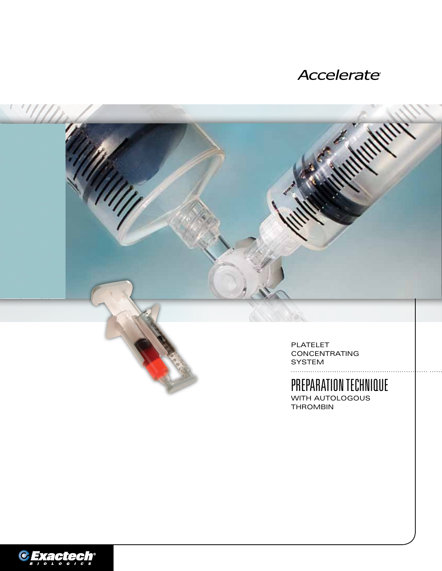### Accelerate®



# PREPARATION TECHNIQUE

WITH AUTOLOGOUS **THROMBIN** 

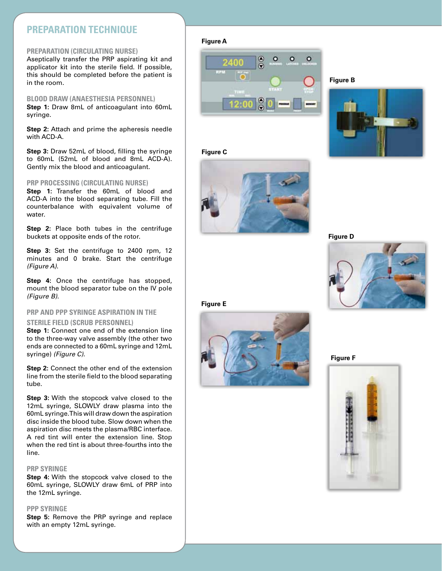### **Pre paration Technique**

#### **Pre paration ( Circulating Nurse)**

Aseptically transfer the PRP aspirating kit and applicator kit into the sterile field. If possible, this should be completed before the patient is in the room.

#### **Blood Draw ( A n Aesthesia Personnel)**

**Step 1:** Draw 8mL of anticoagulant into 60mL syringe.

**Step 2:** Attach and prime the apheresis needle with ACD-A.

**Step 3:** Draw 52mL of blood, filling the syringe to 60mL (52mL of blood and 8mL ACD-A). Gently mix the blood and anticoagulant.

#### **PRP Processing (Circulating Nurse)**

**Step 1:** Transfer the 60mL of blood and ACD-A into the blood separating tube. Fill the counterbalance with equivalent volume of water.

**Step 2:** Place both tubes in the centrifuge buckets at opposite ends of the rotor.

**Step 3:** Set the centrifuge to 2400 rpm, 12 minutes and 0 brake. Start the centrifuge *(Figure A)* .

**Step 4:** Once the centrifuge has stopped, mount the blood separator tube on the IV pole *(Figure B)* .

### **P RP and PPP Syringe A s piration in the STERILE FIELD (SCRUB PERSONNEL)**

**Step 1:** Connect one end of the extension line to the three-way valve assembly (the other two ends are connected to a 60mL syringe and 12mL syringe) *(Figure C)* .

**Step 2:** Connect the other end of the extension line from the sterile field to the blood separating tube.

**Step 3:** With the stopcock valve closed to the 12mL syringe, SLOWLY draw plasma into the 60mL syringe. This will draw down the aspiration disc inside the blood tube. Slow down when the aspiration disc meets the plasma/RBC interface. A red tint will enter the extension line. Stop when the red tint is about three-fourths into the line.

#### **PRP syringe**

**Step 4:** With the stopcock valve closed to the 60mL syringe, SLOWLY draw 6mL of PRP into the 12mL syringe.

#### **PPP syringe**

**Step 5:** Remove the PRP syringe and replace with an empty 12mL syringe.

#### **Figure A**



#### **Figure B**



**Figure C**



**Figure D**







**Figure F**

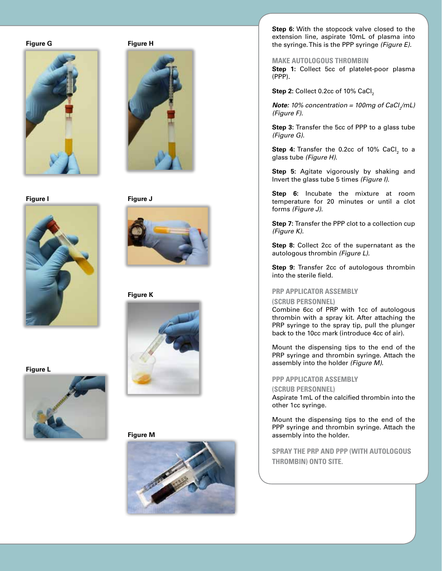#### **Figure G**



**Figure I**



**Figure H**



**Figure J**



**Figure K**



**Figure M**



**Step 6:** With the stopcock valve closed to the extension line, aspirate 10mL of plasma into the syringe. This is the PPP syringe *(Figure E)* .

**Make Autologous Thrombin**

**Step 1:** Collect 5cc of platelet-poor plasma (PPP).

**Step 2:** Collect 0.2cc of 10% CaCl 2

 $\bm{Note:}$  10% concentration = 100mg of CaCl<sub>2</sub>/mL) *(Figure F).*

**Step 3:** Transfer the 5cc of PPP to a glass tube *(Figure G)* .

**Step 4:** Transfer the 0.2cc of 10% CaCl<sub>2</sub> to a glass tube *(Figure H)*.

**Step 5:** Agitate vigorously by shaking and Invert the glass tube 5 times *(Figure I)* .

**Step 6:** Incubate the mixture at room temperature for 20 minutes or until a clot forms *(Figure J)* .

**Step 7:** Transfer the PPP clot to a collection cup *(Figure K)* .

**Step 8:** Collect 2cc of the supernatant as the autologous thrombin *(Figure L)* .

**Step 9:** Transfer 2cc of autologous thrombin into the sterile field.

## **PRP Applicator Assembly (Scrub Personnel)**

Combine 6cc of PRP with 1cc of autologous thrombin with a spray kit. After attaching the PRP syringe to the spray tip, pull the plunger back to the 10cc mark (introduce 4cc of air).

Mount the dispensing tips to the end of the PRP syringe and thrombin syringe. Attach the assembly into the holder *(Figure M)* .

#### **PPP Applicator Assembly**

#### **( Scru b Personnel)**

Aspirate 1mL of the calcified thrombin into the other 1cc syringe.

Mount the dispensing tips to the end of the PPP syringe and thrombin syringe. Attach the assembly into the holder.

**Spray the P RP and PPP (with autologous thrombin) onto site.** 

**Figure L**